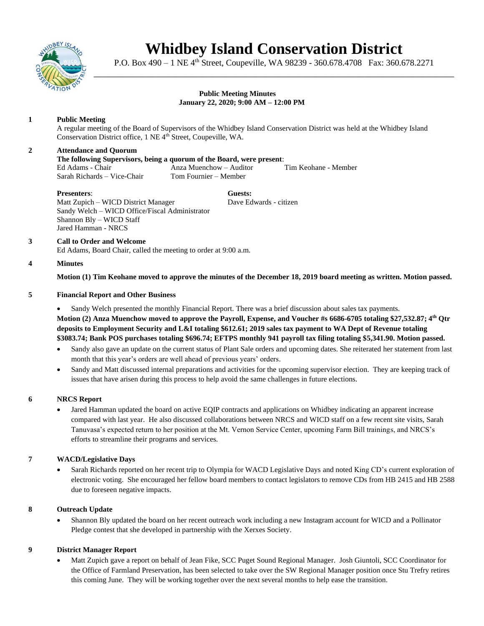

# **Whidbey Island Conservation District**

P.O. Box 490 – 1 NE 4<sup>th</sup> Street, Coupeville, WA 98239 - 360.678.4708 Fax: 360.678.2271 \_\_\_\_\_\_\_\_\_\_\_\_\_\_\_\_\_\_\_\_\_\_\_\_\_\_\_\_\_\_\_\_\_\_\_\_\_\_\_\_\_\_\_\_\_\_\_\_\_\_\_\_\_\_\_\_\_\_\_\_\_\_\_\_\_\_\_\_\_\_\_\_\_\_\_\_

#### **Public Meeting Minutes January 22, 2020; 9:00 AM – 12:00 PM**

# **1 Public Meeting**

A regular meeting of the Board of Supervisors of the Whidbey Island Conservation District was held at the Whidbey Island Conservation District office, 1 NE 4<sup>th</sup> Street, Coupeville, WA.

### **2 Attendance and Quorum**

# **The following Supervisors, being a quorum of the Board, were present**:

Ed Adams - Chair Anza Muenchow – Auditor Tim Keohane - Member Sarah Richards – Vice-Chair Tom Fournier – Member

**Presenters**: **Guests:** Matt Zupich – WICD District Manager Dave Edwards - citizen Sandy Welch – WICD Office/Fiscal Administrator Shannon Bly – WICD Staff Jared Hamman - NRCS

#### **3 Call to Order and Welcome**

Ed Adams, Board Chair, called the meeting to order at 9:00 a.m.

#### **4 Minutes**

**Motion (1) Tim Keohane moved to approve the minutes of the December 18, 2019 board meeting as written. Motion passed.** 

#### **5 Financial Report and Other Business**

• Sandy Welch presented the monthly Financial Report. There was a brief discussion about sales tax payments. **Motion (2) Anza Muenchow moved to approve the Payroll, Expense, and Voucher #s 6686-6705 totaling \$27,532.87; 4 th Qtr deposits to Employment Security and L&I totaling \$612.61; 2019 sales tax payment to WA Dept of Revenue totaling \$3083.74; Bank POS purchases totaling \$696.74; EFTPS monthly 941 payroll tax filing totaling \$5,341.90. Motion passed.** 

- Sandy also gave an update on the current status of Plant Sale orders and upcoming dates. She reiterated her statement from last month that this year's orders are well ahead of previous years' orders.
- Sandy and Matt discussed internal preparations and activities for the upcoming supervisor election. They are keeping track of issues that have arisen during this process to help avoid the same challenges in future elections.

# **6 NRCS Report**

• Jared Hamman updated the board on active EQIP contracts and applications on Whidbey indicating an apparent increase compared with last year. He also discussed collaborations between NRCS and WICD staff on a few recent site visits, Sarah Tanuvasa's expected return to her position at the Mt. Vernon Service Center, upcoming Farm Bill trainings, and NRCS's efforts to streamline their programs and services.

# **7 WACD/Legislative Days**

• Sarah Richards reported on her recent trip to Olympia for WACD Legislative Days and noted King CD's current exploration of electronic voting. She encouraged her fellow board members to contact legislators to remove CDs from HB 2415 and HB 2588 due to foreseen negative impacts.

# **8 Outreach Update**

• Shannon Bly updated the board on her recent outreach work including a new Instagram account for WICD and a Pollinator Pledge contest that she developed in partnership with the Xerxes Society.

# **9 District Manager Report**

• Matt Zupich gave a report on behalf of Jean Fike, SCC Puget Sound Regional Manager. Josh Giuntoli, SCC Coordinator for the Office of Farmland Preservation, has been selected to take over the SW Regional Manager position once Stu Trefry retires this coming June. They will be working together over the next several months to help ease the transition.